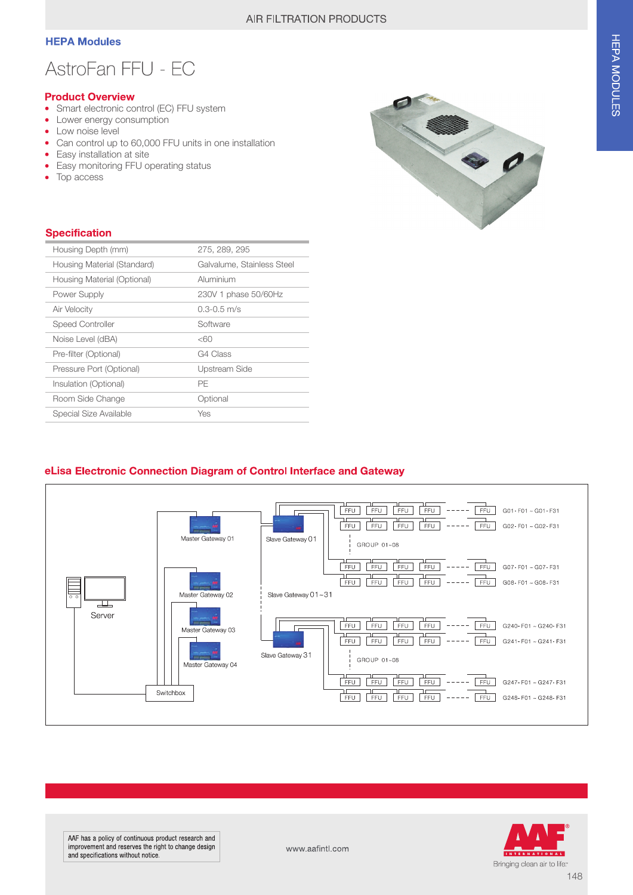### **HEPA Modules**

# AstroFan FFU - EC

#### **Product Overview**

- Smart electronic control (EC) FFU system
- $\bullet$ Lower energy consumption
- Low noise level
- Can control up to 60,000 FFU units in one installation  $\bullet$
- Easy installation at site
- Easy monitoring FFU operating status
- Top access



#### **Specification**

| Housing Depth (mm)          | 275, 289, 295              |  |
|-----------------------------|----------------------------|--|
| Housing Material (Standard) | Galvalume, Stainless Steel |  |
| Housing Material (Optional) | Aluminium                  |  |
| Power Supply                | 230V 1 phase 50/60Hz       |  |
| Air Velocity                | $0.3 - 0.5$ m/s            |  |
| <b>Speed Controller</b>     | Software                   |  |
| Noise Level (dBA)           | <60                        |  |
| Pre-filter (Optional)       | G4 Class                   |  |
| Pressure Port (Optional)    | Upstream Side              |  |
| Insulation (Optional)       | PE                         |  |
| Room Side Change            | Optional                   |  |
| Special Size Available      | Yes                        |  |

### eLisa Electronic Connection Diagram of Control Interface and Gateway





www.aafintl.com

148